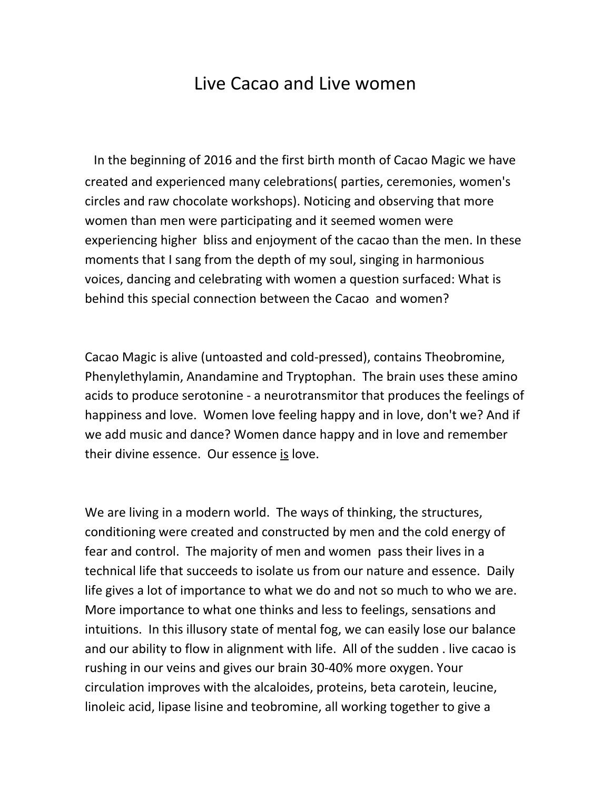## Live Cacao and Live women

In the beginning of 2016 and the first birth month of Cacao Magic we have created and experienced many celebrations( parties, ceremonies, women's circles and raw chocolate workshops). Noticing and observing that more women than men were participating and it seemed women were experiencing higher bliss and enjoyment of the cacao than the men. In these moments that I sang from the depth of my soul, singing in harmonious voices, dancing and celebrating with women a question surfaced: What is behind this special connection between the Cacao and women?

Cacao Magic is alive (untoasted and cold-pressed), contains Theobromine, Phenylethylamin, Anandamine and Tryptophan. The brain uses these amino acids to produce serotonine - a neurotransmitor that produces the feelings of happiness and love. Women love feeling happy and in love, don't we? And if we add music and dance? Women dance happy and in love and remember their divine essence. Our essence is love.

We are living in a modern world. The ways of thinking, the structures, conditioning were created and constructed by men and the cold energy of fear and control. The majority of men and women pass their lives in a technical life that succeeds to isolate us from our nature and essence. Daily life gives a lot of importance to what we do and not so much to who we are. More importance to what one thinks and less to feelings, sensations and intuitions. In this illusory state of mental fog, we can easily lose our balance and our ability to flow in alignment with life. All of the sudden . live cacao is rushing in our veins and gives our brain 30-40% more oxygen. Your circulation improves with the alcaloides, proteins, beta carotein, leucine, linoleic acid, lipase lisine and teobromine, all working together to give a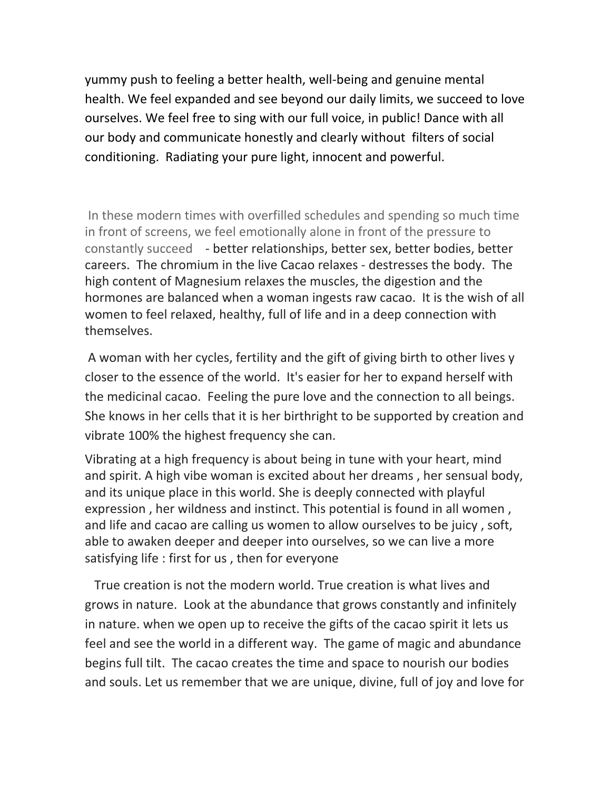yummy push to feeling a better health, well-being and genuine mental health. We feel expanded and see beyond our daily limits, we succeed to love ourselves. We feel free to sing with our full voice, in public! Dance with all our body and communicate honestly and clearly without filters of social conditioning. Radiating your pure light, innocent and powerful.

In these modern times with overfilled schedules and spending so much time in front of screens, we feel emotionally alone in front of the pressure to constantly succeed - better relationships, better sex, better bodies, better careers. The chromium in the live Cacao relaxes - destresses the body. The high content of Magnesium relaxes the muscles, the digestion and the hormones are balanced when a woman ingests raw cacao. It is the wish of all women to feel relaxed, healthy, full of life and in a deep connection with themselves.

A woman with her cycles, fertility and the gift of giving birth to other lives y closer to the essence of the world. It's easier for her to expand herself with the medicinal cacao. Feeling the pure love and the connection to all beings. She knows in her cells that it is her birthright to be supported by creation and vibrate 100% the highest frequency she can.

Vibrating at a high frequency is about being in tune with your heart, mind and spirit. A high vibe woman is excited about her dreams , her sensual body, and its unique place in this world. She is deeply connected with playful expression , her wildness and instinct. This potential is found in all women , and life and cacao are calling us women to allow ourselves to be juicy , soft, able to awaken deeper and deeper into ourselves, so we can live a more satisfying life : first for us , then for everyone

True creation is not the modern world. True creation is what lives and grows in nature. Look at the abundance that grows constantly and infinitely in nature. when we open up to receive the gifts of the cacao spirit it lets us feel and see the world in a different way. The game of magic and abundance begins full tilt. The cacao creates the time and space to nourish our bodies and souls. Let us remember that we are unique, divine, full of joy and love for